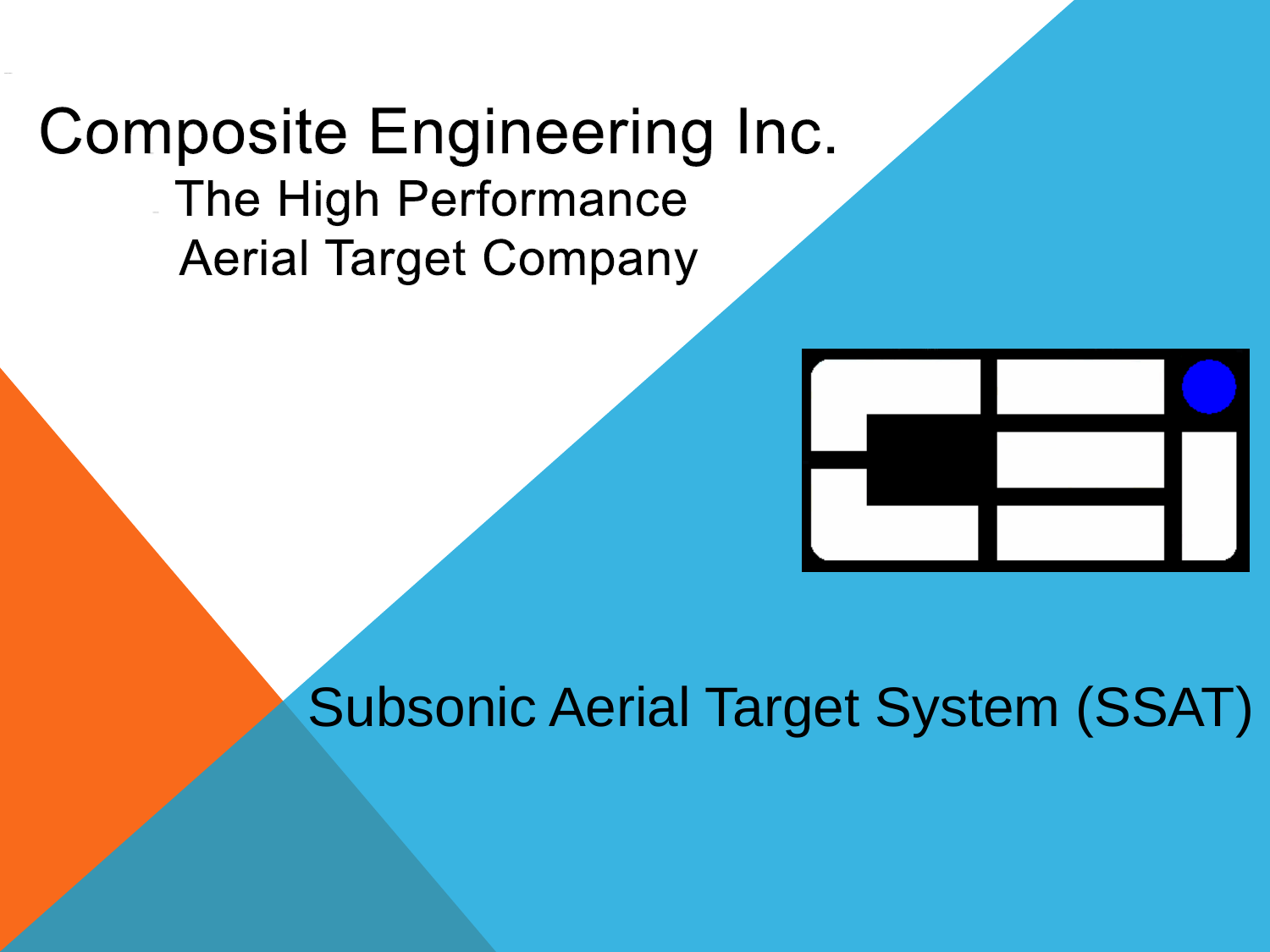### **Composite Engineering Inc.** The High Performance **Aerial Target Company**



Subsonic Aerial Target System (SSAT)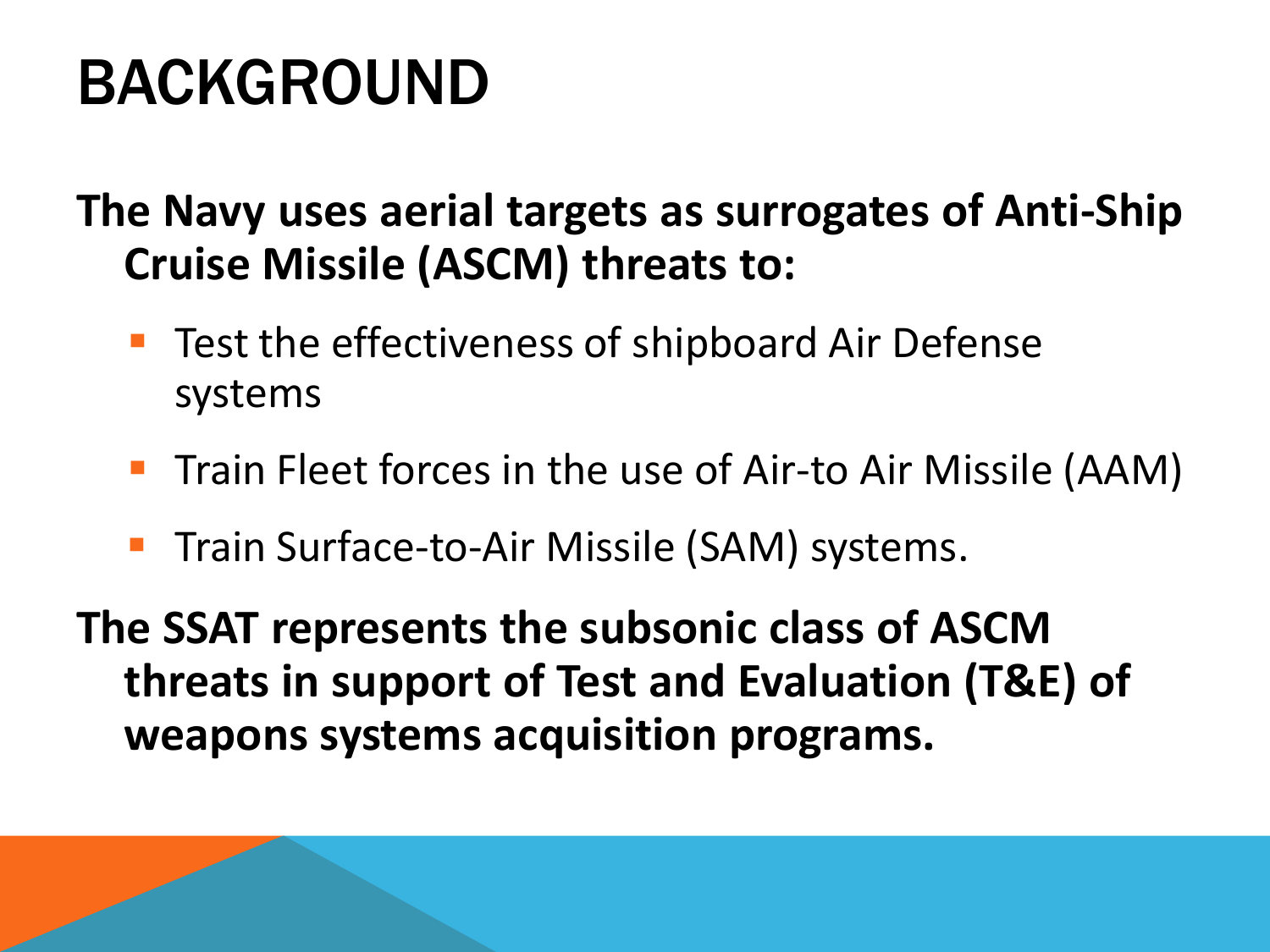# BACKGROUND

#### **The Navy uses aerial targets as surrogates of Anti-Ship Cruise Missile (ASCM) threats to:**

- Test the effectiveness of shipboard Air Defense systems
- Train Fleet forces in the use of Air-to Air Missile (AAM)
- Train Surface-to-Air Missile (SAM) systems.

**The SSAT represents the subsonic class of ASCM threats in support of Test and Evaluation (T&E) of weapons systems acquisition programs.**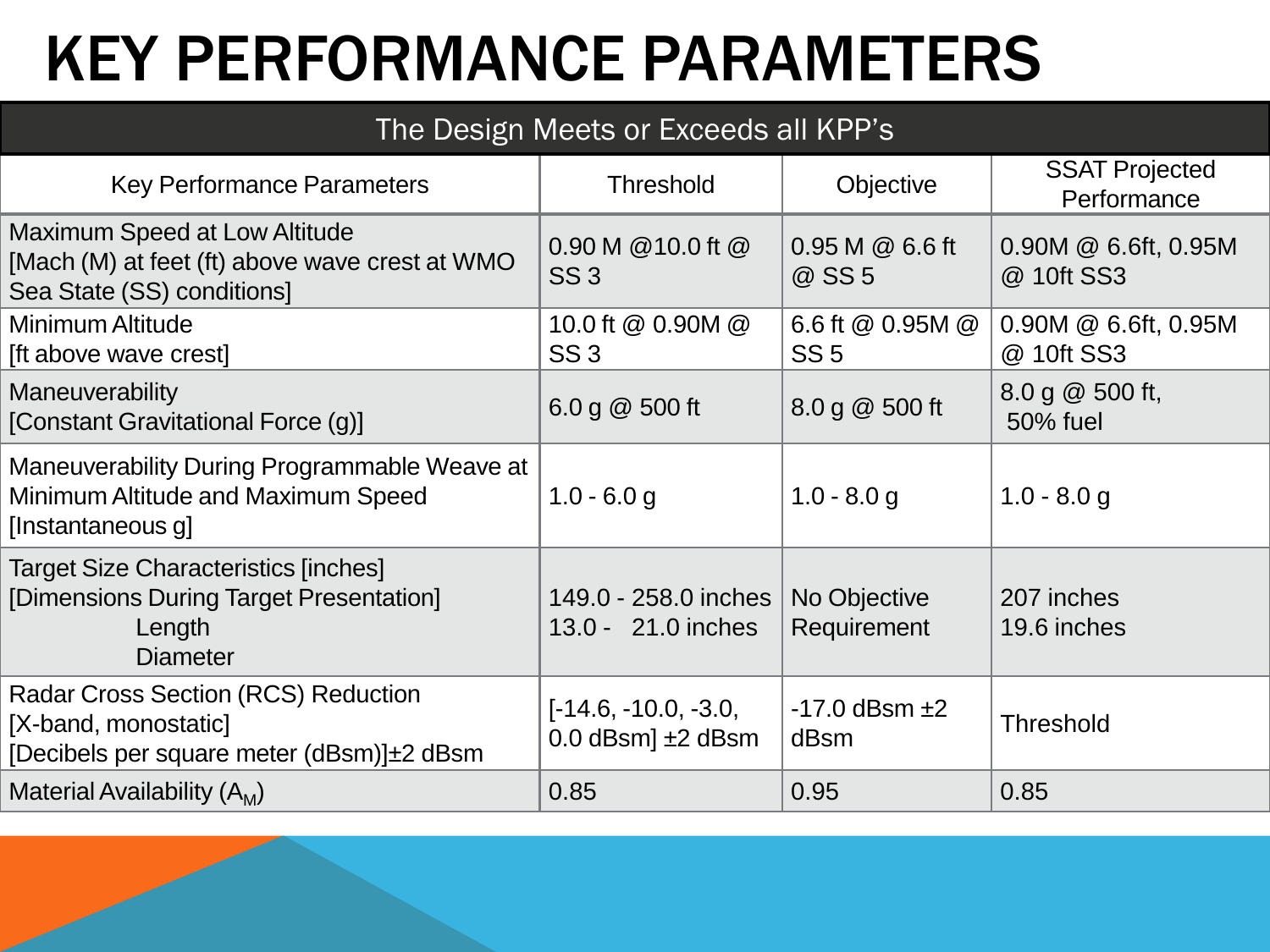# KEY PERFORMANCE PARAMETERS

#### The Design Meets or Exceeds all KPP's

| <b>Key Performance Parameters</b>                                                                                        | <b>Threshold</b>                                    | Objective                           | <b>SSAT Projected</b><br>Performance  |  |  |
|--------------------------------------------------------------------------------------------------------------------------|-----------------------------------------------------|-------------------------------------|---------------------------------------|--|--|
| Maximum Speed at Low Altitude<br>[Mach (M) at feet (ft) above wave crest at WMO<br>Sea State (SS) conditions]            | 0.90 M @ 10.0 ft @<br>SS <sub>3</sub>               | 0.95 M @ 6.6 ft<br>@ SS 5           | $0.90M \& 6.6ft, 0.95M$<br>@ 10ft SS3 |  |  |
| <b>Minimum Altitude</b><br>[ft above wave crest]                                                                         | 10.0 ft @ 0.90M @<br>SS <sub>3</sub>                | 6.6 ft @ 0.95M @<br>SS <sub>5</sub> | $0.90M \& 6.6ft, 0.95M$<br>@ 10ft SS3 |  |  |
| <b>Maneuverability</b><br>[Constant Gravitational Force (g)]                                                             | 6.0 g $@$ 500 ft                                    | 8.0 g @ 500 ft                      | 8.0 g @ 500 ft,<br>50% fuel           |  |  |
| Maneuverability During Programmable Weave at<br>Minimum Altitude and Maximum Speed<br>[Instantaneous g]                  | $1.0 - 6.0 g$                                       | $1.0 - 8.0 g$                       | $1.0 - 8.0 g$                         |  |  |
| <b>Target Size Characteristics [inches]</b><br>[Dimensions During Target Presentation]<br>Length<br><b>Diameter</b>      | 149.0 - 258.0 inches<br>13.0 - 21.0 inches          | No Objective<br>Requirement         | 207 inches<br>19.6 inches             |  |  |
| <b>Radar Cross Section (RCS) Reduction</b><br>[X-band, monostatic]<br>[Decibels per square meter $(dBsm)$ ] $\pm$ 2 dBsm | $[-14.6, -10.0, -3.0,$<br>$0.0$ dBsm $] \pm 2$ dBsm | $-17.0$ dBsm $\pm 2$<br>dBsm        | <b>Threshold</b>                      |  |  |
| Material Availability $(A_M)$                                                                                            | 0.85                                                | 0.95                                | 0.85                                  |  |  |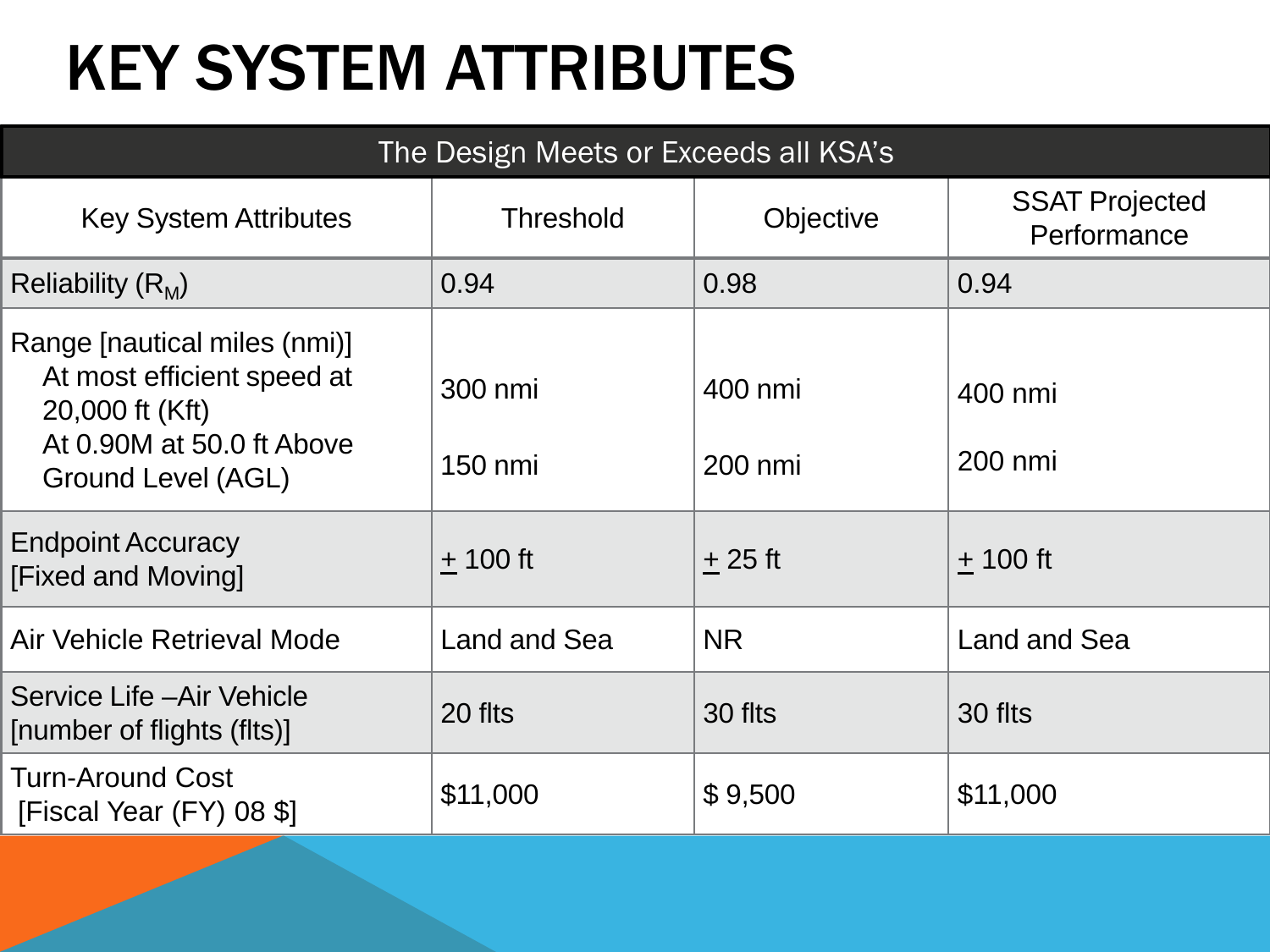# KEY SYSTEM ATTRIBUTES

| The Design Meets or Exceeds all KSA's                                                                                            |                    |                    |                                      |  |  |  |  |  |  |
|----------------------------------------------------------------------------------------------------------------------------------|--------------------|--------------------|--------------------------------------|--|--|--|--|--|--|
| <b>Key System Attributes</b>                                                                                                     | <b>Threshold</b>   | Objective          | <b>SSAT Projected</b><br>Performance |  |  |  |  |  |  |
| Reliability $(R_M)$                                                                                                              | 0.94               | 0.98               | 0.94                                 |  |  |  |  |  |  |
| Range [nautical miles (nmi)]<br>At most efficient speed at<br>20,000 ft (Kft)<br>At 0.90M at 50.0 ft Above<br>Ground Level (AGL) | 300 nmi<br>150 nmi | 400 nmi<br>200 nmi | 400 nmi<br>200 nmi                   |  |  |  |  |  |  |
| <b>Endpoint Accuracy</b><br>[Fixed and Moving]                                                                                   | $+100$ ft          | $+25$ ft           | $+100$ ft                            |  |  |  |  |  |  |
| Air Vehicle Retrieval Mode                                                                                                       | Land and Sea       | <b>NR</b>          | Land and Sea                         |  |  |  |  |  |  |
| Service Life - Air Vehicle<br>[number of flights (flts)]                                                                         | 20 flts            | 30 flts            | 30 flts                              |  |  |  |  |  |  |
| <b>Turn-Around Cost</b><br>[Fiscal Year (FY) 08 \$]                                                                              | \$11,000           | \$9,500            | \$11,000                             |  |  |  |  |  |  |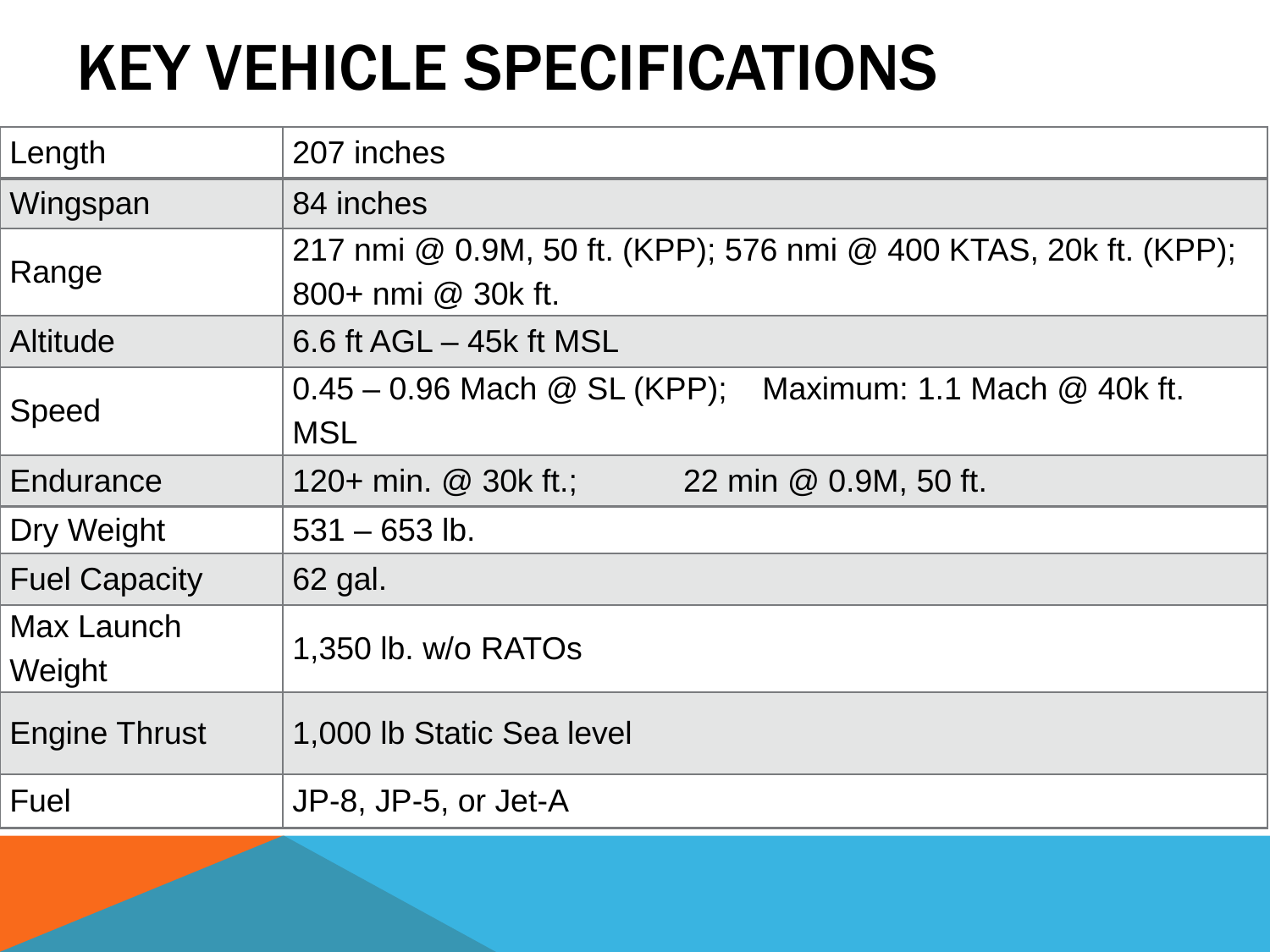# KEY VEHICLE SPECIFICATIONS

| Length               | 207 inches                                                                             |  |  |  |  |  |  |  |
|----------------------|----------------------------------------------------------------------------------------|--|--|--|--|--|--|--|
| Wingspan             | 84 inches                                                                              |  |  |  |  |  |  |  |
| Range                | 217 nmi @ 0.9M, 50 ft. (KPP); 576 nmi @ 400 KTAS, 20k ft. (KPP);<br>800+ nmi @ 30k ft. |  |  |  |  |  |  |  |
| <b>Altitude</b>      | 6.6 ft $AGL - 45k$ ft MSL                                                              |  |  |  |  |  |  |  |
| Speed                | $0.45 - 0.96$ Mach @ SL (KPP); Maximum: 1.1 Mach @ 40k ft.<br><b>MSL</b>               |  |  |  |  |  |  |  |
| Endurance            | 120+ min. $@$ 30k ft.;<br>22 min @ 0.9M, 50 ft.                                        |  |  |  |  |  |  |  |
| Dry Weight           | $531 - 653$ lb.                                                                        |  |  |  |  |  |  |  |
| <b>Fuel Capacity</b> | 62 gal.                                                                                |  |  |  |  |  |  |  |
| Max Launch<br>Weight | 1,350 lb. w/o RATOs                                                                    |  |  |  |  |  |  |  |
| <b>Engine Thrust</b> | 1,000 lb Static Sea level                                                              |  |  |  |  |  |  |  |
| Fuel                 | JP-8, JP-5, or Jet-A                                                                   |  |  |  |  |  |  |  |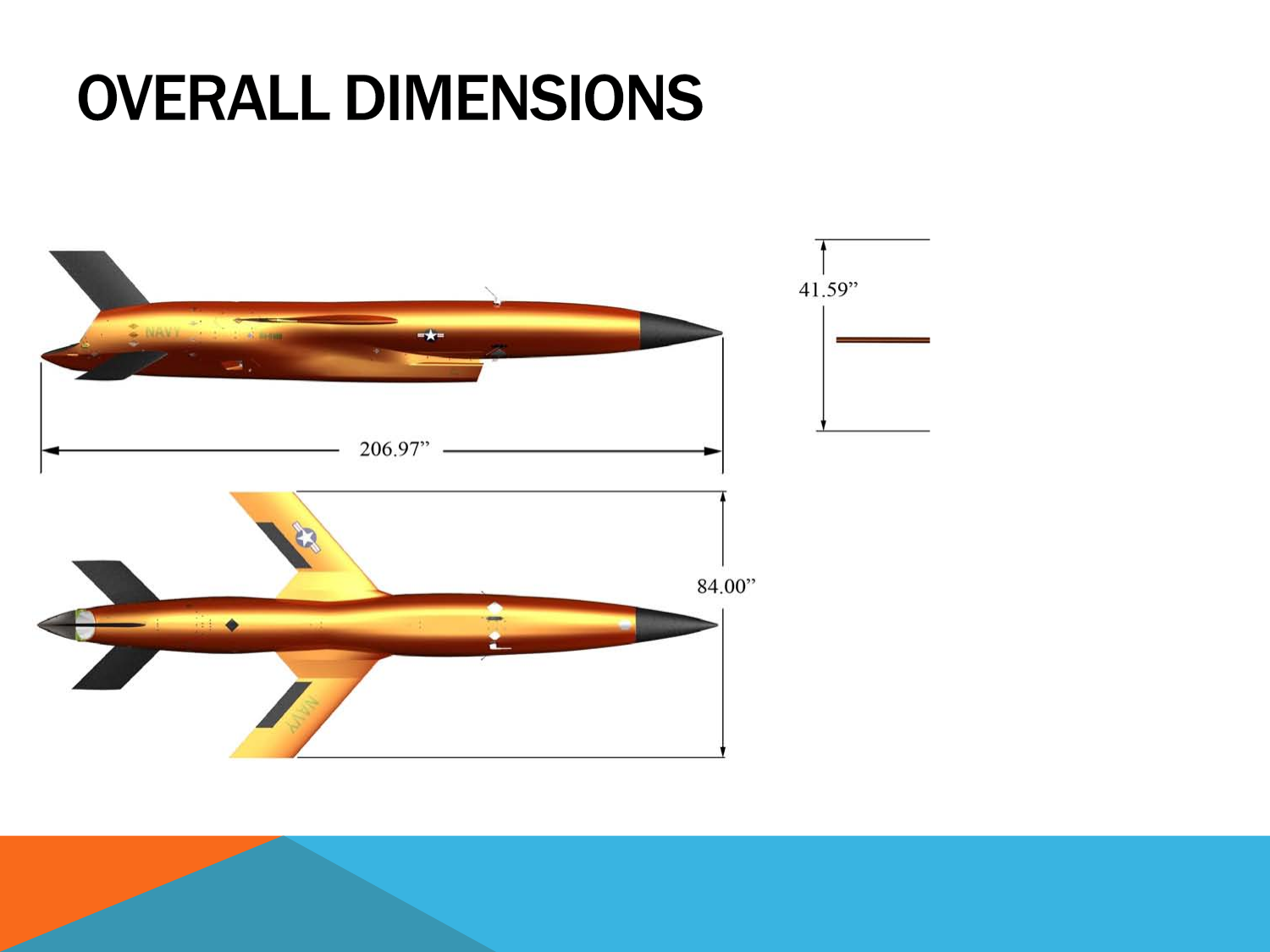## **OVERALL DIMENSIONS**

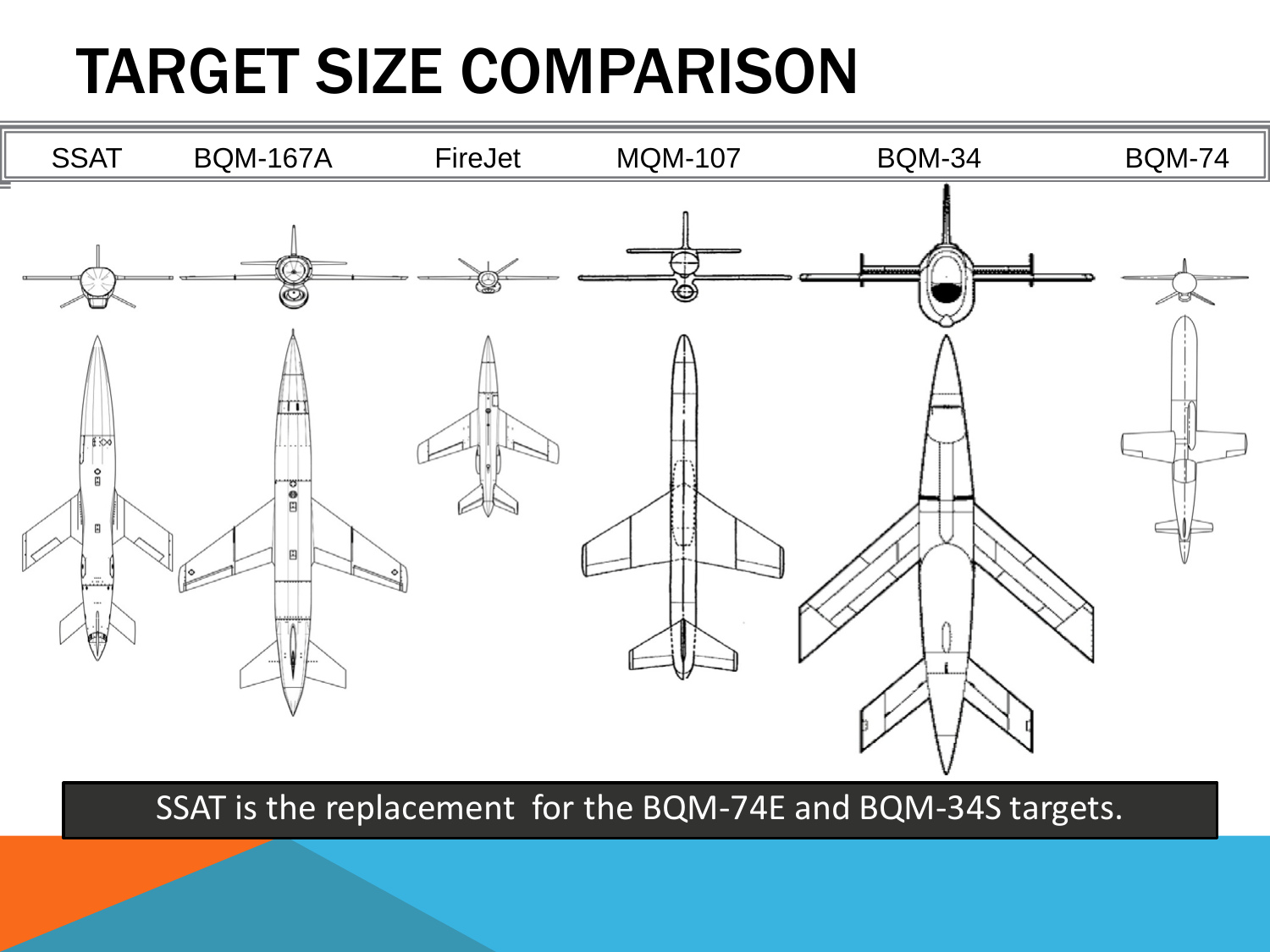# TARGET SIZE COMPARISON



SSAT is the replacement for the BQM-74E and BQM-34S targets.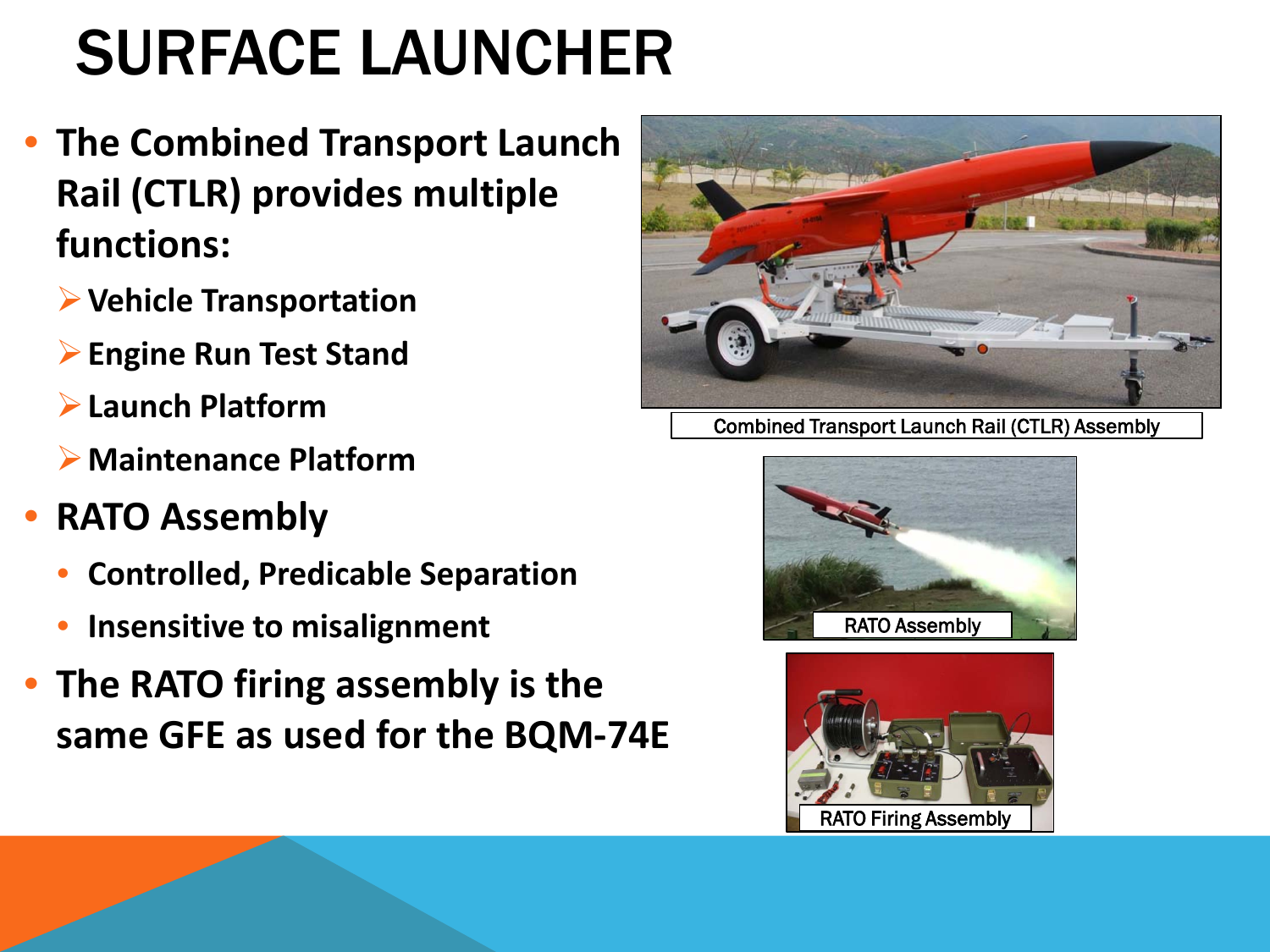# SURFACE LAUNCHER

- **The Combined Transport Launch Rail (CTLR) provides multiple functions:** 
	- **Vehicle Transportation**
	- **Engine Run Test Stand**
	- **Launch Platform**
	- **Maintenance Platform**
- **RATO Assembly**
	- **Controlled, Predicable Separation**
	- **Insensitive to misalignment**
- **The RATO firing assembly is the same GFE as used for the BQM-74E**



Combined Transport Launch Rail (CTLR) Assembly



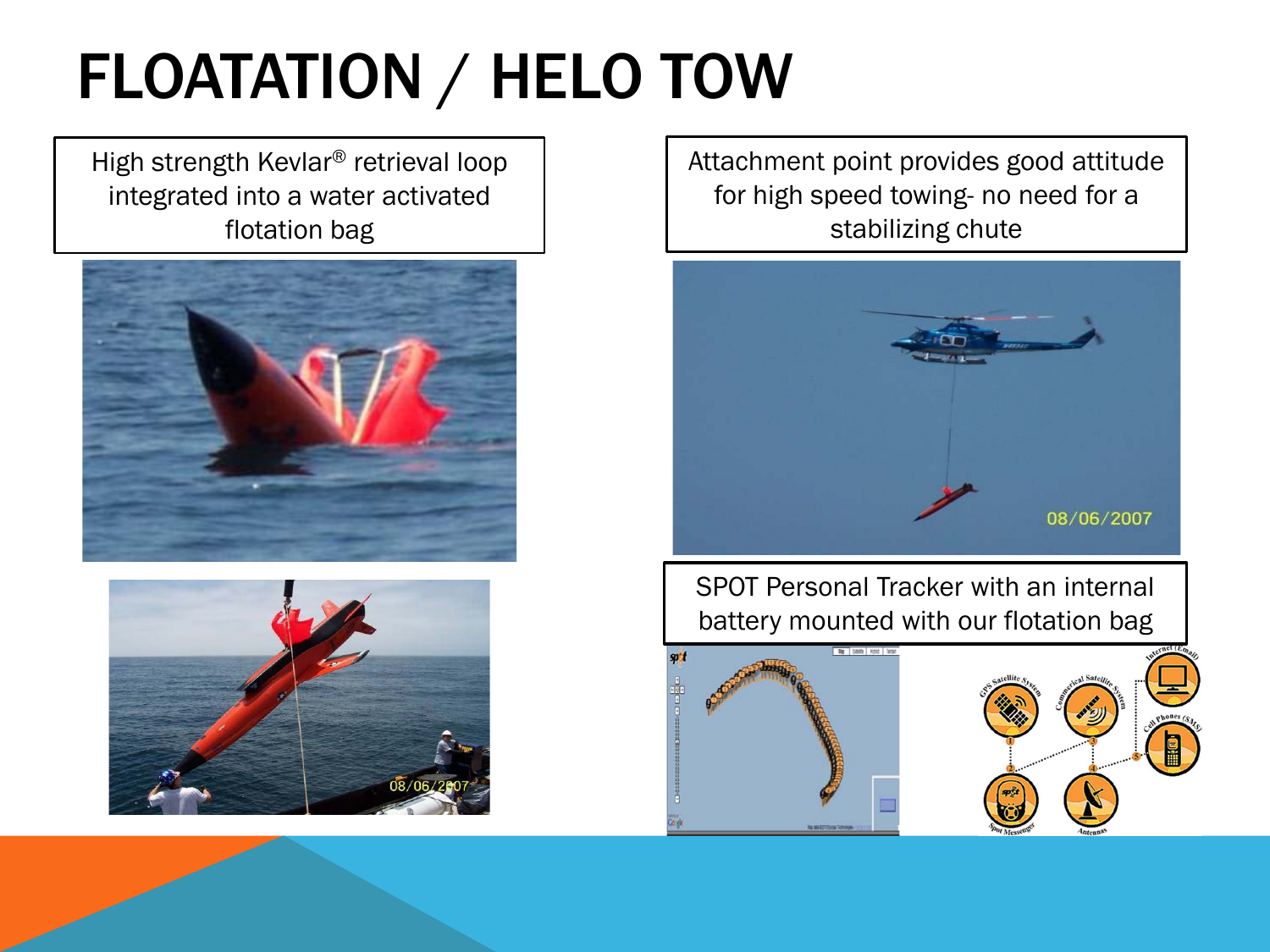# FLOATATION / HELO TOW

High strength Kevlar® retrieval loop integrated into a water activated flotation bag





Attachment point provides good attitude for high speed towing- no need for a stabilizing chute



SPOT Personal Tracker with an internal battery mounted with our flotation bag

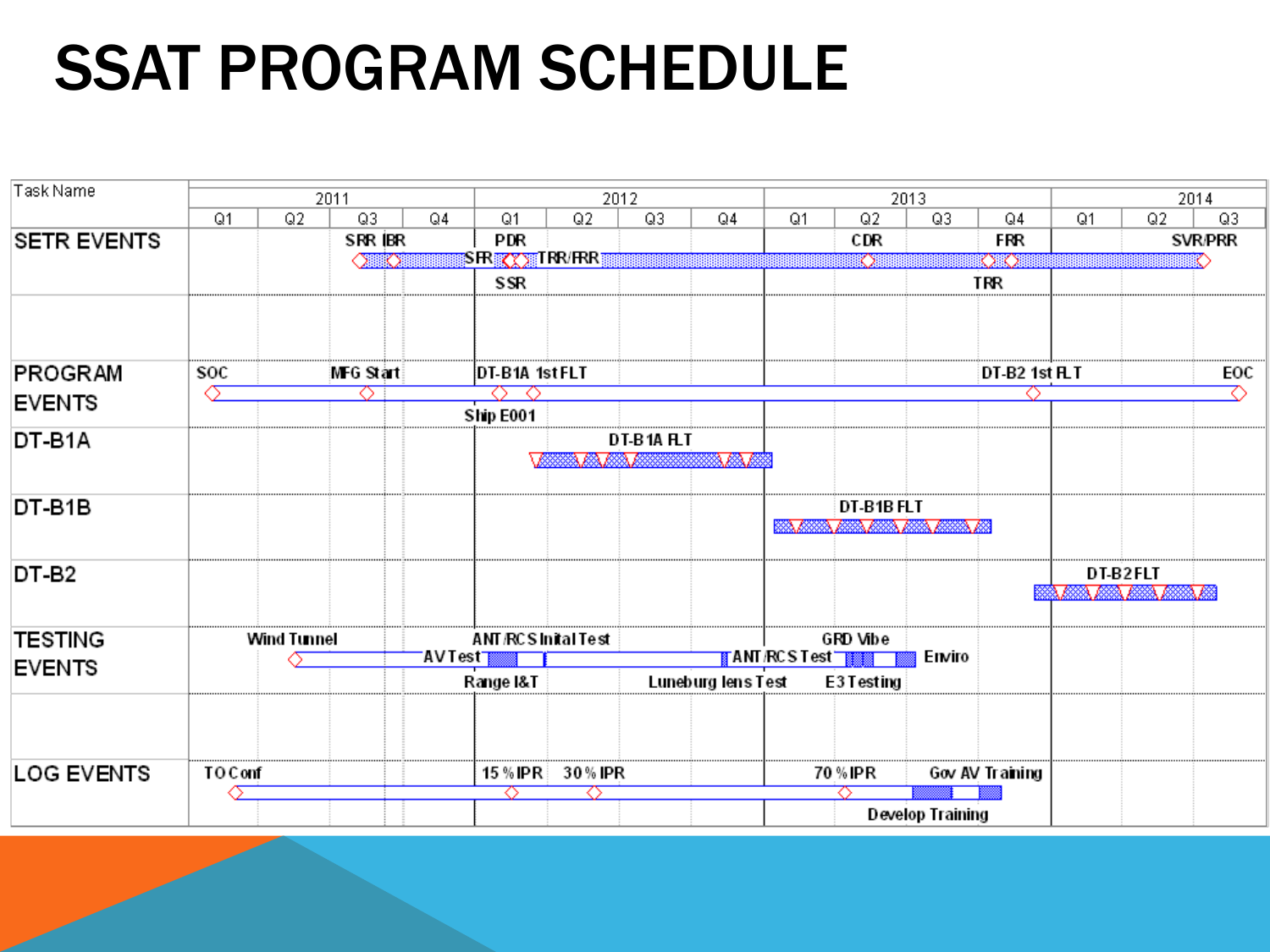# SSAT PROGRAM SCHEDULE

| Task Name                | 2011               |    |               |                           | 2012             |          |                               |                    |                |                          | 2013             | 2014            |                              |    |                |
|--------------------------|--------------------|----|---------------|---------------------------|------------------|----------|-------------------------------|--------------------|----------------|--------------------------|------------------|-----------------|------------------------------|----|----------------|
|                          | Q1                 | Q2 | Q3            | Q4                        | Q1               | Q2       | Q3                            | Q4                 | Q <sub>1</sub> | Q2                       | Q3               | Q4              | Q1                           | Q2 | Q3             |
| <b>SETR EVENTS</b>       |                    |    | SRR (BR       |                           | <b>PDR</b>       |          |                               |                    |                | CDR                      |                  | <b>FRR</b>      |                              |    | <b>SVR/PRR</b> |
|                          |                    |    | <b>OTHEOR</b> |                           | <b>SRXXXIRRE</b> |          |                               |                    |                | K) I                     |                  | OO              |                              |    |                |
|                          |                    |    |               |                           | SSR              |          |                               |                    |                |                          |                  | TRR             |                              |    |                |
| PROGRAM                  | soc                |    | MFG Start     |                           | DT-B1A 1stFLT    |          |                               |                    |                |                          |                  | DT-B2 1st FLT   |                              |    | EOC            |
| <b>EVENTS</b>            |                    |    |               |                           | ◠                |          |                               |                    |                |                          |                  |                 |                              |    |                |
|                          |                    |    |               |                           | Ship E001        |          |                               |                    |                |                          |                  |                 |                              |    |                |
| DT-B1A                   |                    |    |               |                           |                  |          | DT-B1A FLT                    |                    |                |                          |                  |                 |                              |    |                |
|                          |                    |    |               |                           |                  | 12an     |                               | a ka ku            |                |                          |                  |                 |                              |    |                |
| DT-B1B                   |                    |    |               |                           |                  |          |                               |                    |                | DT-B1B FLT               |                  |                 |                              |    |                |
|                          |                    |    |               |                           |                  |          |                               |                    |                | <u>SAMA MAMA MAMA MA</u> |                  |                 |                              |    |                |
| DT-B <sub>2</sub>        |                    |    |               |                           |                  |          |                               |                    |                |                          |                  |                 | DT-B2FLT                     |    |                |
|                          |                    |    |               |                           |                  |          |                               |                    |                |                          |                  |                 | <u>II. KIA AIA AIA AIA A</u> |    |                |
| TESTING<br><b>EVENTS</b> | <b>Wind Tunnel</b> |    |               | <b>ANT/RCSInital Test</b> |                  | GRD Vibe |                               |                    |                |                          |                  |                 |                              |    |                |
|                          |                    |    |               | <b>AVTest</b>             |                  |          | <mark>∦</mark> ANT /RCSTest T |                    | Enviro         |                          |                  |                 |                              |    |                |
|                          |                    |    |               |                           | Range I&T        |          |                               | Luneburg lens Test |                | E3 Testing               |                  |                 |                              |    |                |
|                          |                    |    |               |                           |                  |          |                               |                    |                |                          |                  |                 |                              |    |                |
| <b>LOG EVENTS</b>        | TO Conf            |    |               |                           | 15 % IPR         | 30% IPR  |                               |                    |                | 70 % IPR                 |                  | Gov AV Training |                              |    |                |
|                          |                    |    |               | ↷                         |                  | ⌒        |                               |                    |                |                          |                  |                 |                              |    |                |
|                          |                    |    |               |                           |                  |          |                               |                    |                |                          | Develop Training |                 |                              |    |                |